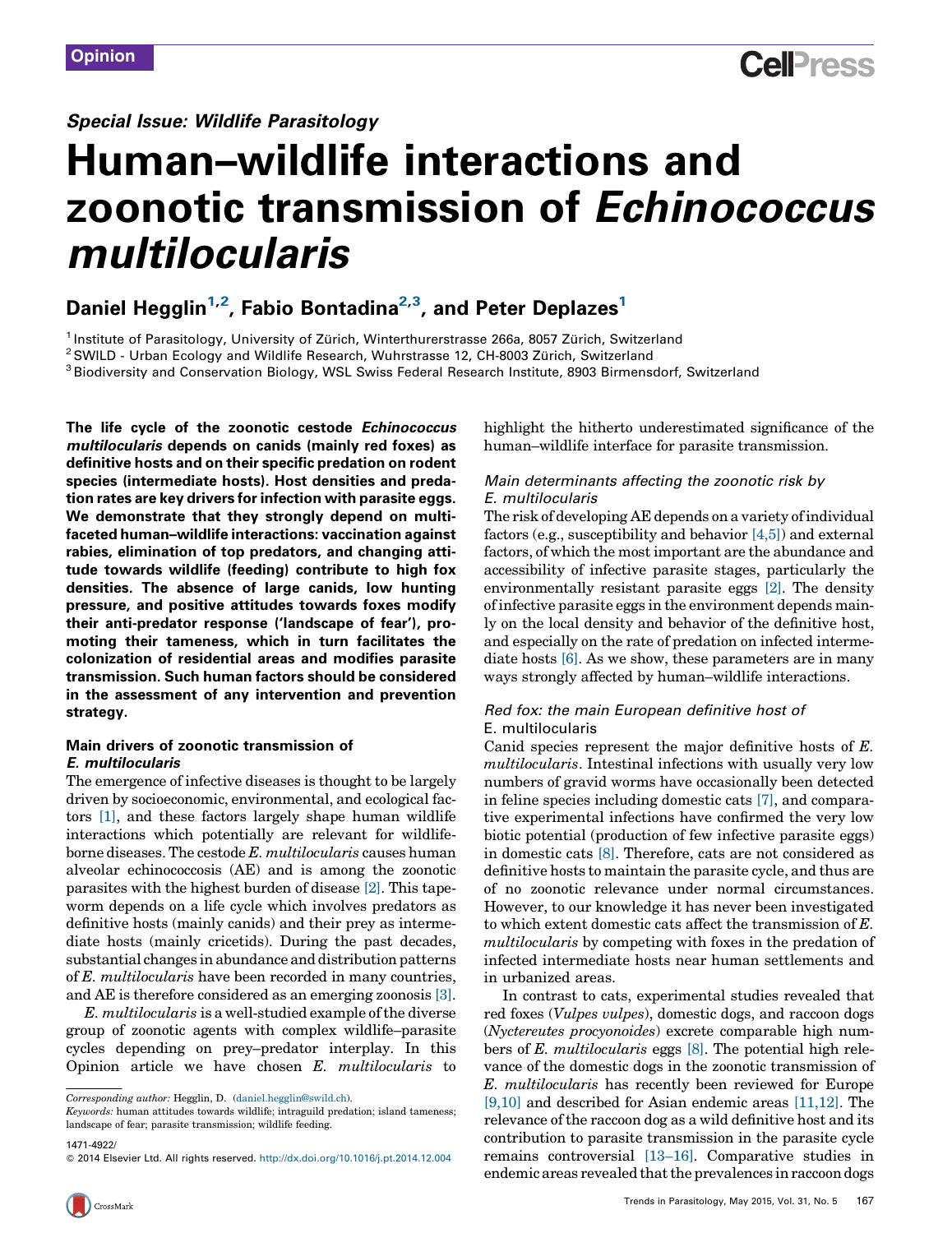## Special Issue: Wildlife Parasitology

# Human–wildlife interactions and zoonotic transmission of Echinococcus multilocularis

## Daniel Hegglin<sup>1,2</sup>, Fabio Bontadina<sup>2,3</sup>, and Peter Deplazes<sup>1</sup>

<sup>1</sup> Institute of Parasitology, University of Zürich, Winterthurerstrasse 266a, 8057 Zürich, Switzerland<br><sup>2</sup> SWILD - Urban Ecology and Wildlife Research, Wuhrstrasse 12, CH-8003 Zürich, Switzerland<br><sup>3</sup> Biodiversity and Con

The life cycle of the zoonotic cestode Echinococcus multilocularis depends on canids (mainly red foxes) as definitive hosts and on their specific predation on rodent species (intermediate hosts). Host densities and predation rates are key drivers for infection with parasite eggs. We demonstrate that they strongly depend on multifaceted human–wildlife interactions: vaccination against rabies, elimination of top predators, and changing attitude towards wildlife (feeding) contribute to high fox densities. The absence of large canids, low hunting pressure, and positive attitudes towards foxes modify their anti-predator response ('landscape of fear'), promoting their tameness, which in turn facilitates the colonization of residential areas and modifies parasite transmission. Such human factors should be considered in the assessment of any intervention and prevention strategy.

## Main drivers of zoonotic transmission of E. multilocularis

The emergence of infective diseases is thought to be largely driven by socioeconomic, environmental, and ecological factors [\[1\],](#page-4-0) and these factors largely shape human wildlife interactions which potentially are relevant for wildlifeborne diseases. The cestode E. multilocularis causes human alveolar echinococcosis (AE) and is among the zoonotic parasites with the highest burden of disease [\[2\]](#page-4-0). This tapeworm depends on a life cycle which involves predators as definitive hosts (mainly canids) and their prey as intermediate hosts (mainly cricetids). During the past decades, substantial changes in abundance and distribution patterns of E. multilocularis have been recorded in many countries, and AE is therefore considered as an emerging zoonosis [\[3\]](#page-4-0).

E. multilocularis is a well-studied example of the diverse group of zoonotic agents with complex wildlife–parasite cycles depending on prey–predator interplay. In this Opinion article we have chosen E. multilocularis to

Keywords: human attitudes towards wildlife; intraguild predation; island tameness; landscape of fear; parasite transmission; wildlife feeding.

1471-4922/

© 2014 Elsevier Ltd. All rights reserved. <http://dx.doi.org/10.1016/j.pt.2014.12.004>

highlight the hitherto underestimated significance of the human–wildlife interface for parasite transmission.

## Main determinants affecting the zoonotic risk by E. multilocularis

The risk of developing AE depends on a variety of individual factors (e.g., susceptibility and behavior [\[4,5\]\)](#page-4-0) and external factors, of which the most important are the abundance and accessibility of infective parasite stages, particularly the environmentally resistant parasite eggs [\[2\]](#page-4-0). The density of infective parasite eggs in the environment depends mainly on the local density and behavior of the definitive host, and especially on the rate of predation on infected intermediate hosts [\[6\]](#page-4-0). As we show, these parameters are in many ways strongly affected by human–wildlife interactions.

## Red fox: the main European definitive host of E. multilocularis

Canid species represent the major definitive hosts of E. multilocularis. Intestinal infections with usually very low numbers of gravid worms have occasionally been detected in feline species including domestic cats [\[7\]](#page-4-0), and comparative experimental infections have confirmed the very low biotic potential (production of few infective parasite eggs) in domestic cats [\[8\]](#page-4-0). Therefore, cats are not considered as definitive hosts to maintain the parasite cycle, and thus are of no zoonotic relevance under normal circumstances. However, to our knowledge it has never been investigated to which extent domestic cats affect the transmission of E. multilocularis by competing with foxes in the predation of infected intermediate hosts near human settlements and in urbanized areas.

In contrast to cats, experimental studies revealed that red foxes (Vulpes vulpes), domestic dogs, and raccoon dogs (Nyctereutes procyonoides) excrete comparable high numbers of  $E$ . multilocularis eggs  $[8]$ . The potential high relevance of the domestic dogs in the zoonotic transmission of E. multilocularis has recently been reviewed for Europe [\[9,10\]](#page-4-0) and described for Asian endemic areas [\[11,12\]](#page-5-0). The relevance of the raccoon dog as a wild definitive host and its contribution to parasite transmission in the parasite cycle remains controversial [\[13–16\]](#page-5-0). Comparative studies in endemic areas revealed that the prevalences in raccoon dogs

Corresponding author: Hegglin, D. [\(daniel.hegglin@swild.ch](mailto:daniel.hegglin@swild.ch)).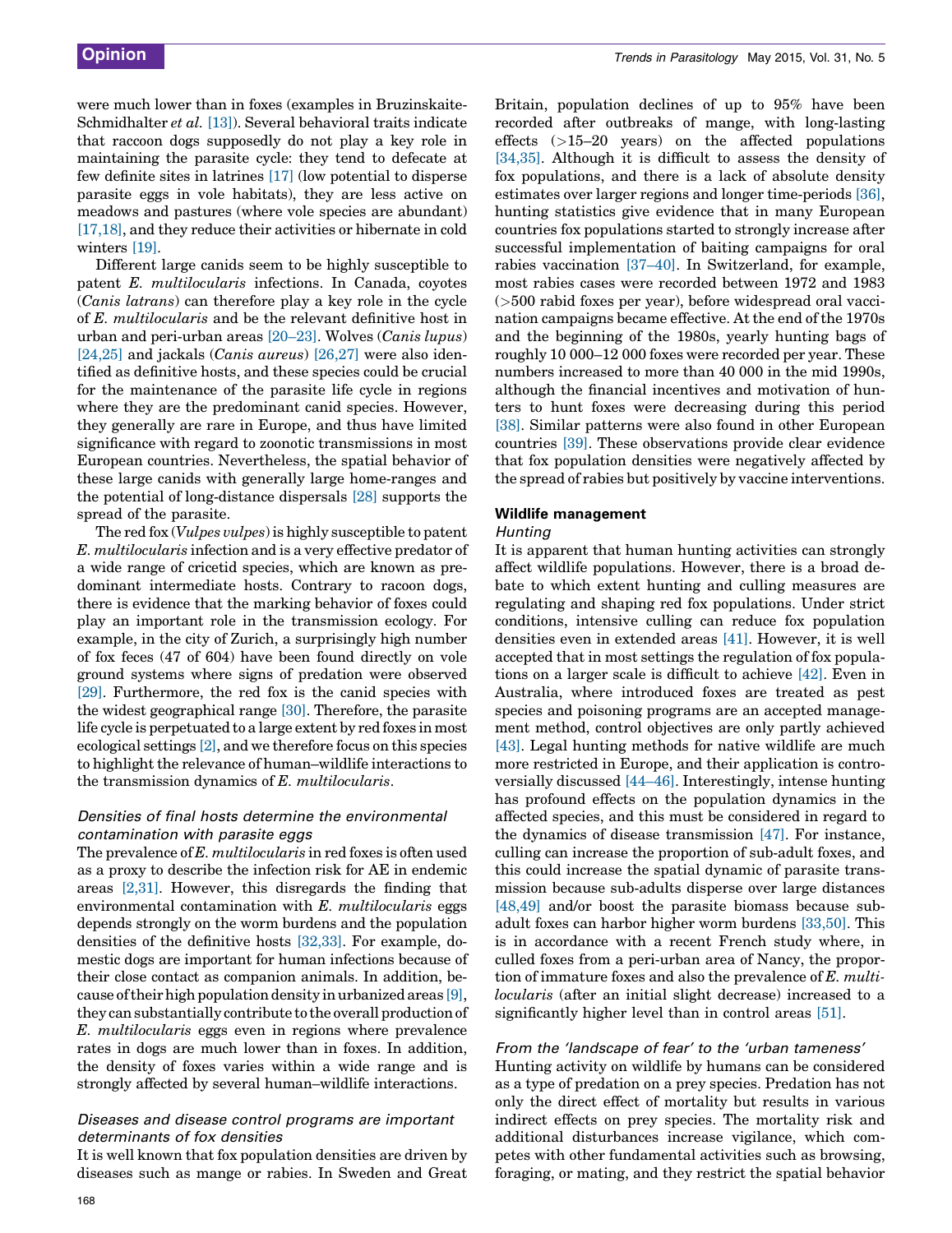were much lower than in foxes (examples in Bruzinskaite-Schmidhalter et al. [\[13\]\)](#page-5-0). Several behavioral traits indicate that raccoon dogs supposedly do not play a key role in maintaining the parasite cycle: they tend to defecate at few definite sites in latrines [\[17\]](#page-5-0) (low potential to disperse parasite eggs in vole habitats), they are less active on meadows and pastures (where vole species are abundant) [\[17,18\],](#page-5-0) and they reduce their activities or hibernate in cold winters [\[19\]](#page-5-0).

Different large canids seem to be highly susceptible to patent E. multilocularis infections. In Canada, coyotes (Canis latrans) can therefore play a key role in the cycle of E. multilocularis and be the relevant definitive host in urban and peri-urban areas [\[20–23\]](#page-5-0). Wolves (Canis lupus) [\[24,25\]](#page-5-0) and jackals (*Canis aureus*) [\[26,27\]](#page-5-0) were also identified as definitive hosts, and these species could be crucial for the maintenance of the parasite life cycle in regions where they are the predominant canid species. However, they generally are rare in Europe, and thus have limited significance with regard to zoonotic transmissions in most European countries. Nevertheless, the spatial behavior of these large canids with generally large home-ranges and the potential of long-distance dispersals [\[28\]](#page-5-0) supports the spread of the parasite.

The red fox (Vulpes vulpes) is highly susceptible to patent E. multilocularis infection and is a very effective predator of a wide range of cricetid species, which are known as predominant intermediate hosts. Contrary to racoon dogs, there is evidence that the marking behavior of foxes could play an important role in the transmission ecology. For example, in the city of Zurich, a surprisingly high number of fox feces (47 of 604) have been found directly on vole ground systems where signs of predation were observed [\[29\].](#page-5-0) Furthermore, the red fox is the canid species with the widest geographical range [\[30\]](#page-5-0). Therefore, the parasite life cycle is perpetuated to a large extent by red foxes in most ecological settings [\[2\]](#page-4-0), and we therefore focus on this species to highlight the relevance of human–wildlife interactions to the transmission dynamics of E. multilocularis.

#### Densities of final hosts determine the environmental contamination with parasite eggs

The prevalence of E. *multilocularis* in red foxes is often used as a proxy to describe the infection risk for AE in endemic areas [\[2,31\]](#page-4-0). However, this disregards the finding that environmental contamination with E. multilocularis eggs depends strongly on the worm burdens and the population densities of the definitive hosts [\[32,33\]](#page-5-0). For example, domestic dogs are important for human infections because of their close contact as companion animals. In addition, because of their high population density in urbanized areas  $[9]$ , they cansubstantially contribute to the overall productionof E. multilocularis eggs even in regions where prevalence rates in dogs are much lower than in foxes. In addition, the density of foxes varies within a wide range and is strongly affected by several human–wildlife interactions.

## Diseases and disease control programs are important determinants of fox densities

It is well known that fox population densities are driven by diseases such as mange or rabies. In Sweden and Great Britain, population declines of up to 95% have been recorded after outbreaks of mange, with long-lasting effects  $($ >15–20 years) on the affected populations [\[34,35\]](#page-5-0). Although it is difficult to assess the density of fox populations, and there is a lack of absolute density estimates over larger regions and longer time-periods [\[36\]](#page-5-0), hunting statistics give evidence that in many European countries fox populations started to strongly increase after successful implementation of baiting campaigns for oral rabies vaccination [\[37–40\]](#page-5-0). In Switzerland, for example, most rabies cases were recorded between 1972 and 1983 (>500 rabid foxes per year), before widespread oral vaccination campaigns became effective. At the end of the 1970s and the beginning of the 1980s, yearly hunting bags of roughly 10 000–12 000 foxes were recorded per year. These numbers increased to more than 40 000 in the mid 1990s, although the financial incentives and motivation of hunters to hunt foxes were decreasing during this period [\[38\]](#page-5-0). Similar patterns were also found in other European countries [\[39\].](#page-5-0) These observations provide clear evidence that fox population densities were negatively affected by the spread of rabies but positively by vaccine interventions.

#### Wildlife management

#### **Hunting**

It is apparent that human hunting activities can strongly affect wildlife populations. However, there is a broad debate to which extent hunting and culling measures are regulating and shaping red fox populations. Under strict conditions, intensive culling can reduce fox population densities even in extended areas [\[41\].](#page-5-0) However, it is well accepted that in most settings the regulation of fox populations on a larger scale is difficult to achieve [\[42\].](#page-5-0) Even in Australia, where introduced foxes are treated as pest species and poisoning programs are an accepted management method, control objectives are only partly achieved [\[43\]](#page-5-0). Legal hunting methods for native wildlife are much more restricted in Europe, and their application is controversially discussed [\[44–46\]](#page-5-0). Interestingly, intense hunting has profound effects on the population dynamics in the affected species, and this must be considered in regard to the dynamics of disease transmission [\[47\]](#page-5-0). For instance, culling can increase the proportion of sub-adult foxes, and this could increase the spatial dynamic of parasite transmission because sub-adults disperse over large distances [\[48,49\]](#page-5-0) and/or boost the parasite biomass because subadult foxes can harbor higher worm burdens [\[33,50\].](#page-5-0) This is in accordance with a recent French study where, in culled foxes from a peri-urban area of Nancy, the proportion of immature foxes and also the prevalence of  $E$ . multilocularis (after an initial slight decrease) increased to a significantly higher level than in control areas [\[51\].](#page-5-0)

#### From the 'landscape of fear' to the 'urban tameness'

Hunting activity on wildlife by humans can be considered as a type of predation on a prey species. Predation has not only the direct effect of mortality but results in various indirect effects on prey species. The mortality risk and additional disturbances increase vigilance, which competes with other fundamental activities such as browsing, foraging, or mating, and they restrict the spatial behavior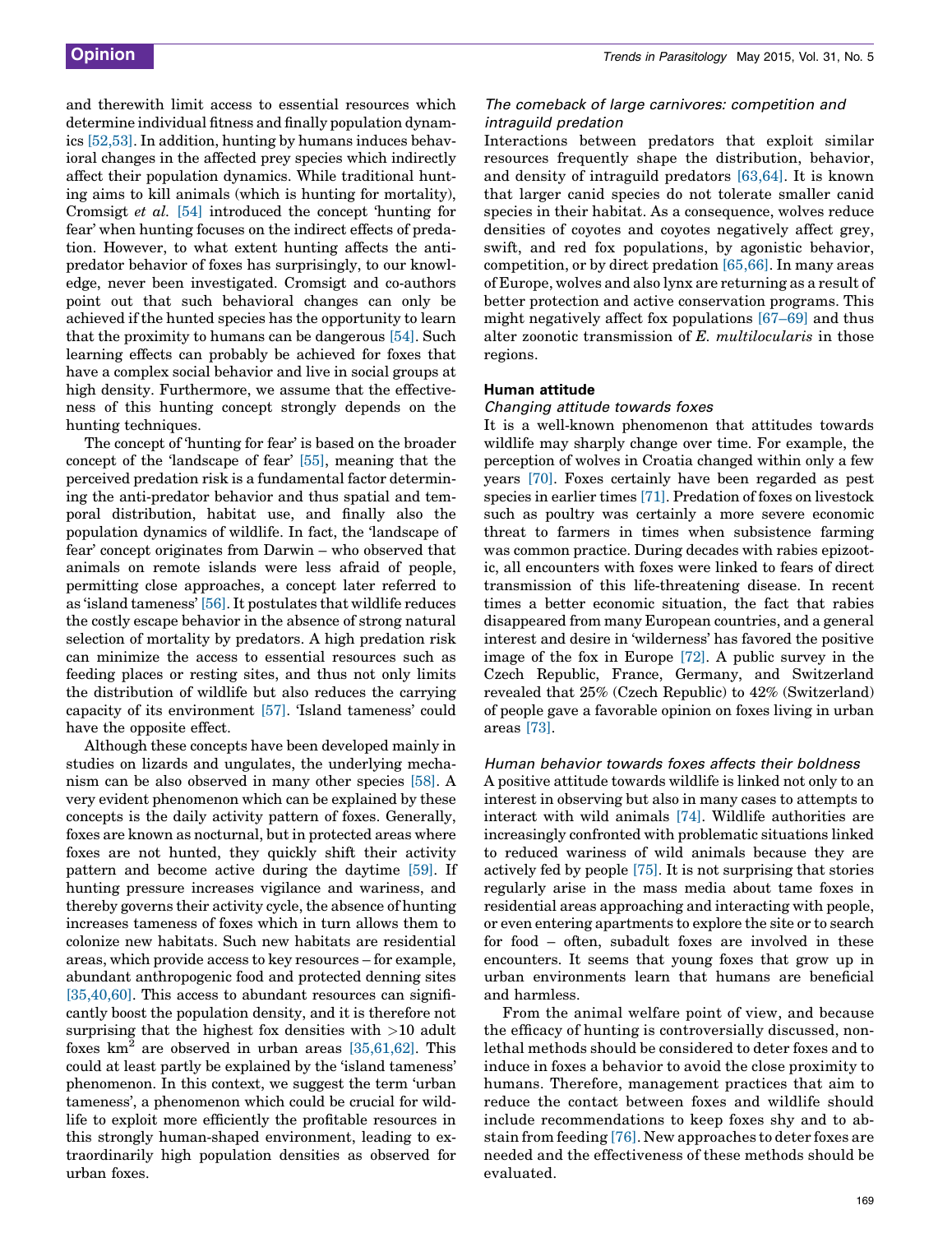and therewith limit access to essential resources which determine individual fitness and finally population dynamics [\[52,53\].](#page-5-0) In addition, hunting by humans induces behavioral changes in the affected prey species which indirectly affect their population dynamics. While traditional hunting aims to kill animals (which is hunting for mortality), Cromsigt et al. [\[54\]](#page-5-0) introduced the concept 'hunting for fear' when hunting focuses on the indirect effects of predation. However, to what extent hunting affects the antipredator behavior of foxes has surprisingly, to our knowledge, never been investigated. Cromsigt and co-authors point out that such behavioral changes can only be achieved if the hunted species has the opportunity to learn that the proximity to humans can be dangerous [\[54\]](#page-5-0). Such learning effects can probably be achieved for foxes that have a complex social behavior and live in social groups at high density. Furthermore, we assume that the effectiveness of this hunting concept strongly depends on the hunting techniques.

The concept of 'hunting for fear' is based on the broader concept of the 'landscape of fear' [\[55\]](#page-5-0), meaning that the perceived predation risk is a fundamental factor determining the anti-predator behavior and thus spatial and temporal distribution, habitat use, and finally also the population dynamics of wildlife. In fact, the 'landscape of fear' concept originates from Darwin – who observed that animals on remote islands were less afraid of people, permitting close approaches, a concept later referred to as 'island tameness' [\[56\].](#page-5-0) It postulates that wildlife reduces the costly escape behavior in the absence of strong natural selection of mortality by predators. A high predation risk can minimize the access to essential resources such as feeding places or resting sites, and thus not only limits the distribution of wildlife but also reduces the carrying capacity of its environment [\[57\]](#page-5-0). 'Island tameness' could have the opposite effect.

Although these concepts have been developed mainly in studies on lizards and ungulates, the underlying mechanism can be also observed in many other species [\[58\].](#page-5-0) A very evident phenomenon which can be explained by these concepts is the daily activity pattern of foxes. Generally, foxes are known as nocturnal, but in protected areas where foxes are not hunted, they quickly shift their activity pattern and become active during the daytime [\[59\]](#page-5-0). If hunting pressure increases vigilance and wariness, and thereby governs their activity cycle, the absence of hunting increases tameness of foxes which in turn allows them to colonize new habitats. Such new habitats are residential areas, which provide access to key resources – for example, abundant anthropogenic food and protected denning sites [\[35,40,60\]](#page-5-0). This access to abundant resources can significantly boost the population density, and it is therefore not surprising that the highest fox densities with  $>10$  adult foxes  $km^2$  are observed in urban areas [\[35,61,62\]](#page-5-0). This could at least partly be explained by the 'island tameness' phenomenon. In this context, we suggest the term 'urban tameness', a phenomenon which could be crucial for wildlife to exploit more efficiently the profitable resources in this strongly human-shaped environment, leading to extraordinarily high population densities as observed for urban foxes.

## The comeback of large carnivores: competition and intraguild predation

Interactions between predators that exploit similar resources frequently shape the distribution, behavior, and density of intraguild predators [\[63,64\].](#page-5-0) It is known that larger canid species do not tolerate smaller canid species in their habitat. As a consequence, wolves reduce densities of coyotes and coyotes negatively affect grey, swift, and red fox populations, by agonistic behavior, competition, or by direct predation [\[65,66\]](#page-6-0). In many areas of Europe, wolves and also lynx are returning as a result of better protection and active conservation programs. This might negatively affect fox populations [\[67–69\]](#page-6-0) and thus alter zoonotic transmission of E. multilocularis in those regions.

#### Human attitude

#### Changing attitude towards foxes

It is a well-known phenomenon that attitudes towards wildlife may sharply change over time. For example, the perception of wolves in Croatia changed within only a few years [\[70\]](#page-6-0). Foxes certainly have been regarded as pest species in earlier times [\[71\].](#page-6-0) Predation of foxes on livestock such as poultry was certainly a more severe economic threat to farmers in times when subsistence farming was common practice. During decades with rabies epizootic, all encounters with foxes were linked to fears of direct transmission of this life-threatening disease. In recent times a better economic situation, the fact that rabies disappeared from many European countries, and a general interest and desire in 'wilderness' has favored the positive image of the fox in Europe [\[72\]](#page-6-0). A public survey in the Czech Republic, France, Germany, and Switzerland revealed that 25% (Czech Republic) to 42% (Switzerland) of people gave a favorable opinion on foxes living in urban areas [\[73\].](#page-6-0)

#### Human behavior towards foxes affects their boldness

A positive attitude towards wildlife is linked not only to an interest in observing but also in many cases to attempts to interact with wild animals [\[74\].](#page-6-0) Wildlife authorities are increasingly confronted with problematic situations linked to reduced wariness of wild animals because they are actively fed by people [\[75\].](#page-6-0) It is not surprising that stories regularly arise in the mass media about tame foxes in residential areas approaching and interacting with people, or even entering apartments to explore the site or to search for food – often, subadult foxes are involved in these encounters. It seems that young foxes that grow up in urban environments learn that humans are beneficial and harmless.

From the animal welfare point of view, and because the efficacy of hunting is controversially discussed, nonlethal methods should be considered to deter foxes and to induce in foxes a behavior to avoid the close proximity to humans. Therefore, management practices that aim to reduce the contact between foxes and wildlife should include recommendations to keep foxes shy and to abstain from feeding [\[76\]](#page-6-0). New approaches to deter foxes are needed and the effectiveness of these methods should be evaluated.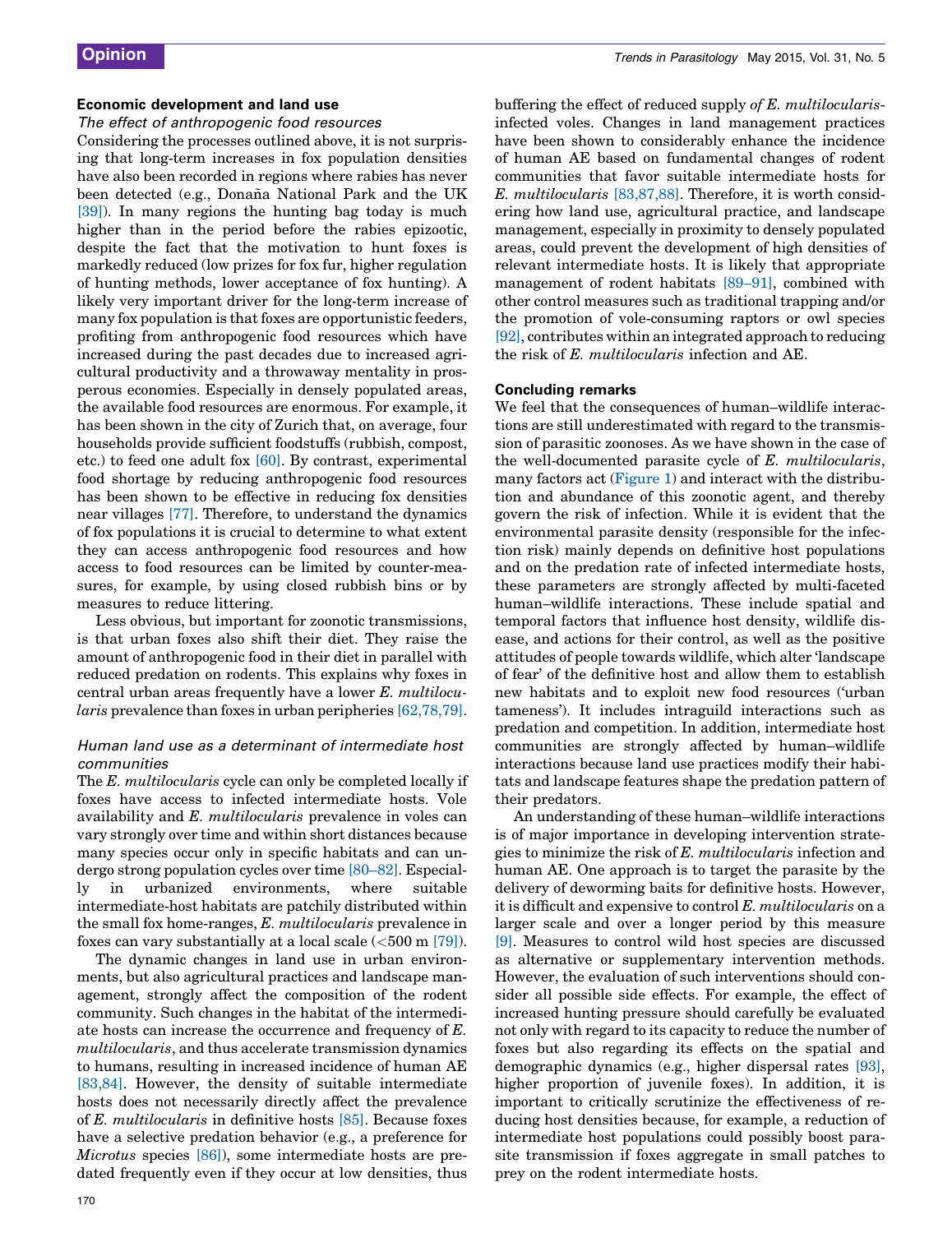#### Economic development and land use

#### The effect of anthropogenic food resources

Considering the processes outlined above, it is not surprising that long-term increases in fox population densities have also been recorded in regions where rabies has never been detected (e.g., Donaña National Park and the UK [\[39\]](#page-5-0)). In many regions the hunting bag today is much higher than in the period before the rabies epizootic. despite the fact that the motivation to hunt foxes is markedly reduced (low prizes for fox fur, higher regulation of hunting methods, lower acceptance of fox hunting). A likely very important driver for the long-term increase of many fox population is that foxes are opportunistic feeders, profiting from anthropogenic food resources which have increased during the past decades due to increased agricultural productivity and a throwaway mentality in prosperous economies. Especially in densely populated areas, the available food resources are enormous. For example, it has been shown in the city of Zurich that, on average, four households provide sufficient foodstuffs (rubbish, compost, etc.) to feed one adult fox [\[60\].](#page-5-0) By contrast, experimental food shortage by reducing anthropogenic food resources has been shown to be effective in reducing fox densities near villages [\[77\]](#page-6-0). Therefore, to understand the dynamics of fox populations it is crucial to determine to what extent they can access anthropogenic food resources and how access to food resources can be limited by counter-measures, for example, by using closed rubbish bins or by measures to reduce littering.

Less obvious, but important for zoonotic transmissions, is that urban foxes also shift their diet. They raise the amount of anthropogenic food in their diet in parallel with reduced predation on rodents. This explains why foxes in central urban areas frequently have a lower E. multilocularis prevalence than foxes in urban peripheries [\[62,78,79\]](#page-5-0).

#### Human land use as a determinant of intermediate host communities

The E. multilocularis cycle can only be completed locally if foxes have access to infected intermediate hosts. Vole availability and E. multilocularis prevalence in voles can vary strongly over time and within short distances because many species occur only in specific habitats and can undergo strong population cycles over time [\[80–82\]](#page-6-0). Especially in urbanized environments, where suitable intermediate-host habitats are patchily distributed within the small fox home-ranges, E. multilocularis prevalence in foxes can vary substantially at a local scale  $(<500 \text{ m } [79])$  $(<500 \text{ m } [79])$  $(<500 \text{ m } [79])$ .

The dynamic changes in land use in urban environments, but also agricultural practices and landscape management, strongly affect the composition of the rodent community. Such changes in the habitat of the intermediate hosts can increase the occurrence and frequency of E. multilocularis, and thus accelerate transmission dynamics to humans, resulting in increased incidence of human AE [\[83,84\]](#page-6-0). However, the density of suitable intermediate hosts does not necessarily directly affect the prevalence of E. multilocularis in definitive hosts [\[85\].](#page-6-0) Because foxes have a selective predation behavior (e.g., a preference for Microtus species [\[86\]\)](#page-6-0), some intermediate hosts are predated frequently even if they occur at low densities, thus buffering the effect of reduced supply of E. multilocularisinfected voles. Changes in land management practices have been shown to considerably enhance the incidence of human AE based on fundamental changes of rodent communities that favor suitable intermediate hosts for E. multilocularis [\[83,87,88\]](#page-6-0). Therefore, it is worth considering how land use, agricultural practice, and landscape management, especially in proximity to densely populated areas, could prevent the development of high densities of relevant intermediate hosts. It is likely that appropriate management of rodent habitats [\[89–91\]](#page-6-0), combined with other control measures such as traditional trapping and/or the promotion of vole-consuming raptors or owl species [\[92\]](#page-6-0), contributes within an integrated approach to reducing the risk of E. multilocularis infection and AE.

#### Concluding remarks

We feel that the consequences of human–wildlife interactions are still underestimated with regard to the transmission of parasitic zoonoses. As we have shown in the case of the well-documented parasite cycle of E. multilocularis, many factors act ([Figure](#page-4-0) 1) and interact with the distribution and abundance of this zoonotic agent, and thereby govern the risk of infection. While it is evident that the environmental parasite density (responsible for the infection risk) mainly depends on definitive host populations and on the predation rate of infected intermediate hosts, these parameters are strongly affected by multi-faceted human–wildlife interactions. These include spatial and temporal factors that influence host density, wildlife disease, and actions for their control, as well as the positive attitudes of people towards wildlife, which alter 'landscape of fear' of the definitive host and allow them to establish new habitats and to exploit new food resources ('urban tameness'). It includes intraguild interactions such as predation and competition. In addition, intermediate host communities are strongly affected by human–wildlife interactions because land use practices modify their habitats and landscape features shape the predation pattern of their predators.

An understanding of these human–wildlife interactions is of major importance in developing intervention strategies to minimize the risk of E. multilocularis infection and human AE. One approach is to target the parasite by the delivery of deworming baits for definitive hosts. However, it is difficult and expensive to control E. multilocularis on a larger scale and over a longer period by this measure [\[9\].](#page-4-0) Measures to control wild host species are discussed as alternative or supplementary intervention methods. However, the evaluation of such interventions should consider all possible side effects. For example, the effect of increased hunting pressure should carefully be evaluated not only with regard to its capacity to reduce the number of foxes but also regarding its effects on the spatial and demographic dynamics (e.g., higher dispersal rates [\[93\]](#page-6-0), higher proportion of juvenile foxes). In addition, it is important to critically scrutinize the effectiveness of reducing host densities because, for example, a reduction of intermediate host populations could possibly boost parasite transmission if foxes aggregate in small patches to prey on the rodent intermediate hosts.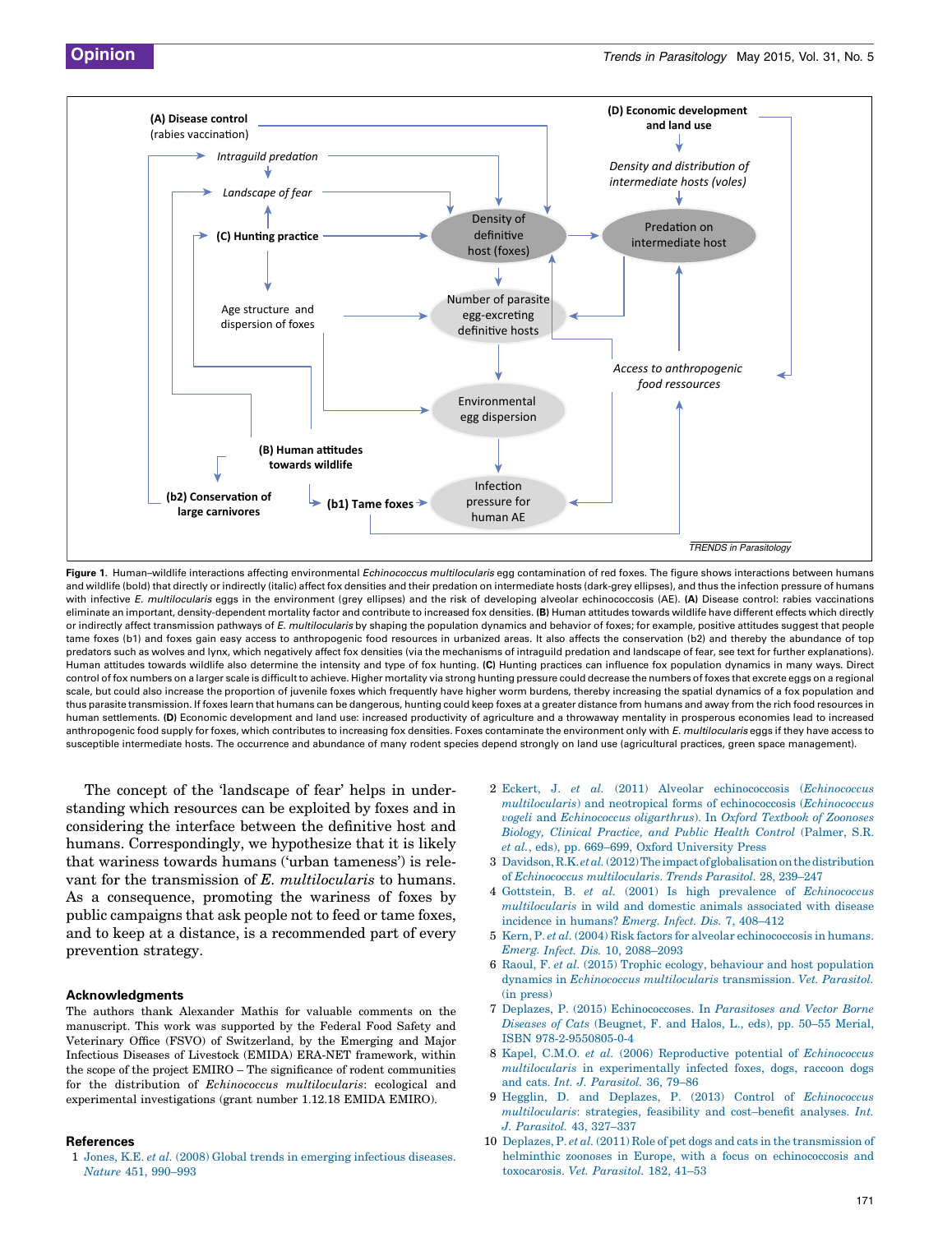<span id="page-4-0"></span>

Figure 1. Human-wildlife interactions affecting environmental Echinococcus multilocularis egg contamination of red foxes. The figure shows interactions between humans and wildlife (bold) that directly or indirectly (italic) affect fox densities and their predation on intermediate hosts (dark-grey ellipses), and thus the infection pressure of humans with infective E. multilocularis eggs in the environment (grey ellipses) and the risk of developing alveolar echinococcosis (AE). (A) Disease control: rabies vaccinations eliminate an important, density-dependent mortality factor and contribute to increased fox densities. (B) Human attitudes towards wildlife have different effects which directly or indirectly affect transmission pathways of E. multilocularis by shaping the population dynamics and behavior of foxes; for example, positive attitudes suggest that people tame foxes (b1) and foxes gain easy access to anthropogenic food resources in urbanized areas. It also affects the conservation (b2) and thereby the abundance of top predators such as wolves and lynx, which negatively affect fox densities (via the mechanisms of intraguild predation and landscape of fear, see text for further explanations). Human attitudes towards wildlife also determine the intensity and type of fox hunting. (C) Hunting practices can influence fox population dynamics in many ways. Direct control of fox numbers on a larger scale is difficult to achieve. Higher mortality via strong hunting pressure could decrease the numbers of foxes that excrete eggs on a regional scale, but could also increase the proportion of juvenile foxes which frequently have higher worm burdens, thereby increasing the spatial dynamics of a fox population and thus parasite transmission. If foxes learn that humans can be dangerous, hunting could keep foxes at a greater distance from humans and away from the rich food resources in human settlements. (D) Economic development and land use: increased productivity of agriculture and a throwaway mentality in prosperous economies lead to increased anthropogenic food supply for foxes, which contributes to increasing fox densities. Foxes contaminate the environment only with E. multilocularis eggs if they have access to susceptible intermediate hosts. The occurrence and abundance of many rodent species depend strongly on land use (agricultural practices, green space management).

The concept of the 'landscape of fear' helps in understanding which resources can be exploited by foxes and in considering the interface between the definitive host and humans. Correspondingly, we hypothesize that it is likely that wariness towards humans ('urban tameness') is relevant for the transmission of E. multilocularis to humans. As a consequence, promoting the wariness of foxes by public campaigns that ask people not to feed or tame foxes, and to keep at a distance, is a recommended part of every prevention strategy.

#### Acknowledgments

The authors thank Alexander Mathis for valuable comments on the manuscript. This work was supported by the Federal Food Safety and Veterinary Office (FSVO) of Switzerland, by the Emerging and Major Infectious Diseases of Livestock (EMIDA) ERA-NET framework, within the scope of the project EMIRO – The significance of rodent communities for the distribution of Echinococcus multilocularis: ecological and experimental investigations (grant number 1.12.18 EMIDA EMIRO).

#### References

1 Jones, K.E. et al. (2008) Global trends in emerging [infectious](http://refhub.elsevier.com/S1471-4922(14)00207-4/sbref0470) diseases. Nature 451, [990–993](http://refhub.elsevier.com/S1471-4922(14)00207-4/sbref0470)

- 2 Eckert, J. et al. (2011) Alveolar [echinococcosis](http://refhub.elsevier.com/S1471-4922(14)00207-4/sbref0475) (Echinococcus multilocularis) and neotropical forms of [echinococcosis](http://refhub.elsevier.com/S1471-4922(14)00207-4/sbref0475) (Echinococcus vogeli and [Echinococcus](http://refhub.elsevier.com/S1471-4922(14)00207-4/sbref0475) oligarthrus). In Oxford Textbook of Zoonoses Biology, Clinical Practice, and Public Health Control [\(Palmer,](http://refhub.elsevier.com/S1471-4922(14)00207-4/sbref0475) S.R. et al., eds), pp. 669–699, Oxford [University](http://refhub.elsevier.com/S1471-4922(14)00207-4/sbref0475) Press
- 3 Davidson, R.K. et al. (2012) The impact of globalisation on the distribution of Echinococcus [multilocularis](http://refhub.elsevier.com/S1471-4922(14)00207-4/sbref0480). Trends Parasitol. 28, 239–247
- 4 Gottstein, B. et al. (2001) Is high prevalence of [Echinococcus](http://refhub.elsevier.com/S1471-4922(14)00207-4/sbref0485) [multilocularis](http://refhub.elsevier.com/S1471-4922(14)00207-4/sbref0485) in wild and domestic animals associated with disease [incidence](http://refhub.elsevier.com/S1471-4922(14)00207-4/sbref0485) in humans? Emerg. Infect. Dis. 7, 408–412
- 5 Kern, P. et al. (2004) Risk factors for alveolar [echinococcosis](http://refhub.elsevier.com/S1471-4922(14)00207-4/sbref0490) in humans. Emerg. Infect. Dis. 10, [2088–2093](http://refhub.elsevier.com/S1471-4922(14)00207-4/sbref0490)
- 6 Raoul, F. et al. (2015) Trophic ecology, behaviour and host [population](http://refhub.elsevier.com/S1471-4922(14)00207-4/sbref0495) dynamics in Echinococcus [multilocularis](http://refhub.elsevier.com/S1471-4922(14)00207-4/sbref0495) transmission. Vet. Parasitol. (in [press\)](http://refhub.elsevier.com/S1471-4922(14)00207-4/sbref0495)
- 7 Deplazes, P. (2015) [Echinococcoses.](http://refhub.elsevier.com/S1471-4922(14)00207-4/sbref0500) In Parasitoses and Vector Borne Diseases of Cats [\(Beugnet,](http://refhub.elsevier.com/S1471-4922(14)00207-4/sbref0500) F. and Halos, L., eds), pp. 50–55 Merial, ISBN [978-2-9550805-0-4](http://refhub.elsevier.com/S1471-4922(14)00207-4/sbref0500)
- 8 Kapel, C.M.O. et al. (2006) [Reproductive](http://refhub.elsevier.com/S1471-4922(14)00207-4/sbref0505) potential of Echinococcus multilocularis in [experimentally](http://refhub.elsevier.com/S1471-4922(14)00207-4/sbref0505) infected foxes, dogs, raccoon dogs and cats. Int. J. [Parasitol.](http://refhub.elsevier.com/S1471-4922(14)00207-4/sbref0505) 36, 79–86
- 9 Hegglin, D. and Deplazes, P. (2013) Control of [Echinococcus](http://refhub.elsevier.com/S1471-4922(14)00207-4/sbref0510) [multilocularis](http://refhub.elsevier.com/S1471-4922(14)00207-4/sbref0510): strategies, feasibility and cost–benefit analyses. Int. J. [Parasitol.](http://refhub.elsevier.com/S1471-4922(14)00207-4/sbref0510) 43, 327–337
- 10 Deplazes, P. et al. (2011) Role of pet dogs and cats in the [transmission](http://refhub.elsevier.com/S1471-4922(14)00207-4/sbref0515) of helminthic zoonoses in Europe, with a focus on [echinococcosis](http://refhub.elsevier.com/S1471-4922(14)00207-4/sbref0515) and [toxocarosis.](http://refhub.elsevier.com/S1471-4922(14)00207-4/sbref0515) Vet. Parasitol. 182, 41–53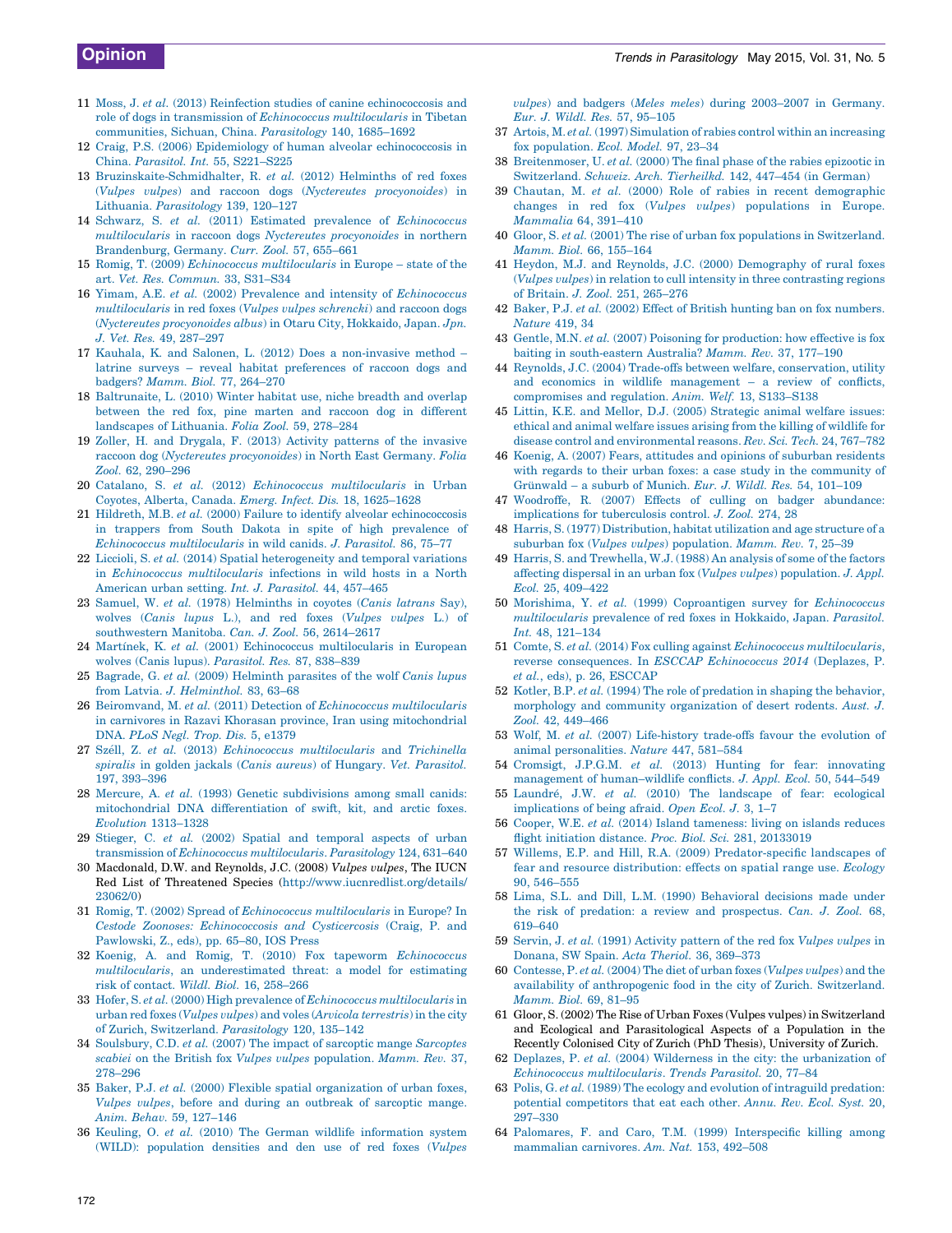- <span id="page-5-0"></span>11 Moss, J. et al. (2013) Reinfection studies of canine [echinococcosis](http://refhub.elsevier.com/S1471-4922(14)00207-4/sbref0520) and role of dogs in transmission of Echinococcus [multilocularis](http://refhub.elsevier.com/S1471-4922(14)00207-4/sbref0520) in Tibetan [communities,](http://refhub.elsevier.com/S1471-4922(14)00207-4/sbref0520) Sichuan, China. Parasitology 140, 1685–1692
- 12 Craig, P.S. (2006) Epidemiology of human alveolar [echinococcosis](http://refhub.elsevier.com/S1471-4922(14)00207-4/sbref0525) in China. Parasitol. Int. 55, [S221–S225](http://refhub.elsevier.com/S1471-4922(14)00207-4/sbref0525)
- 13 [Bruzinskaite-Schmidhalter,](http://refhub.elsevier.com/S1471-4922(14)00207-4/sbref0530) R. et al. (2012) Helminths of red foxes (Vulpes vulpes) and raccoon dogs (Nyctereutes [procyonoides](http://refhub.elsevier.com/S1471-4922(14)00207-4/sbref0530)) in Lithuania. [Parasitology](http://refhub.elsevier.com/S1471-4922(14)00207-4/sbref0530) 139, 120–127
- 14 Schwarz, S. et al. (2011) Estimated prevalence of [Echinococcus](http://refhub.elsevier.com/S1471-4922(14)00207-4/sbref0535) [multilocularis](http://refhub.elsevier.com/S1471-4922(14)00207-4/sbref0535) in raccoon dogs Nyctereutes procyonoides in northern [Brandenburg,](http://refhub.elsevier.com/S1471-4922(14)00207-4/sbref0535) Germany. Curr. Zool. 57, 655–661
- 15 Romig, T. (2009) Echinococcus [multilocularis](http://refhub.elsevier.com/S1471-4922(14)00207-4/sbref0540) in Europe state of the art. Vet. Res. [Commun.](http://refhub.elsevier.com/S1471-4922(14)00207-4/sbref0540) 33, S31–S34
- 16 Yimam, A.E. et al. (2002) Prevalence and intensity of [Echinococcus](http://refhub.elsevier.com/S1471-4922(14)00207-4/sbref0545) [multilocularis](http://refhub.elsevier.com/S1471-4922(14)00207-4/sbref0545) in red foxes (Vulpes vulpes schrencki) and raccoon dogs (Nyctereutes [procyonoides](http://refhub.elsevier.com/S1471-4922(14)00207-4/sbref0545) albus) in Otaru City, Hokkaido, Japan. Jpn. J. Vet. Res. 49, [287–297](http://refhub.elsevier.com/S1471-4922(14)00207-4/sbref0545)
- 17 Kauhala, K. and Salonen, L. (2012) Does a [non-invasive](http://refhub.elsevier.com/S1471-4922(14)00207-4/sbref0550) method latrine surveys – reveal habitat [preferences](http://refhub.elsevier.com/S1471-4922(14)00207-4/sbref0550) of raccoon dogs and [badgers?](http://refhub.elsevier.com/S1471-4922(14)00207-4/sbref0550) Mamm. Biol. 77, 264–270
- 18 [Baltrunaite,](http://refhub.elsevier.com/S1471-4922(14)00207-4/sbref0555) L. (2010) Winter habitat use, niche breadth and overlap between the red fox, pine marten and raccoon dog in [different](http://refhub.elsevier.com/S1471-4922(14)00207-4/sbref0555) [landscapes](http://refhub.elsevier.com/S1471-4922(14)00207-4/sbref0555) of Lithuania. Folia Zool. 59, 278–284
- 19 Zoller, H. and [Drygala,](http://refhub.elsevier.com/S1471-4922(14)00207-4/sbref0560) F. (2013) Activity patterns of the invasive raccoon dog (Nyctereutes [procyonoides](http://refhub.elsevier.com/S1471-4922(14)00207-4/sbref0560)) in North East Germany. Folia Zool. 62, [290–296](http://refhub.elsevier.com/S1471-4922(14)00207-4/sbref0560)
- 20 Catalano, S. et al. (2012) Echinococcus [multilocularis](http://refhub.elsevier.com/S1471-4922(14)00207-4/sbref0565) in Urban Coyotes, Alberta, Canada. Emerg. Infect. Dis. 18, [1625–1628](http://refhub.elsevier.com/S1471-4922(14)00207-4/sbref0565)
- 21 Hildreth, M.B. et al. (2000) Failure to identify alveolar [echinococcosis](http://refhub.elsevier.com/S1471-4922(14)00207-4/sbref0570) in trappers from South Dakota in spite of high [prevalence](http://refhub.elsevier.com/S1471-4922(14)00207-4/sbref0570) of Echinococcus [multilocularis](http://refhub.elsevier.com/S1471-4922(14)00207-4/sbref0570) in wild canids. J. Parasitol. 86, 75–77
- 22 Liccioli, S. et al. (2014) Spatial [heterogeneity](http://refhub.elsevier.com/S1471-4922(14)00207-4/sbref0575) and temporal variations in Echinococcus [multilocularis](http://refhub.elsevier.com/S1471-4922(14)00207-4/sbref0575) infections in wild hosts in a North American urban setting. Int. J. [Parasitol.](http://refhub.elsevier.com/S1471-4922(14)00207-4/sbref0575) 44, 457–465
- 23 Samuel, W. et al. (1978) [Helminths](http://refhub.elsevier.com/S1471-4922(14)00207-4/sbref0580) in coyotes (Canis latrans Say), wolves (Canis lupus L.), and red foxes ([Vulpes](http://refhub.elsevier.com/S1471-4922(14)00207-4/sbref0580) vulpes L.) of [southwestern](http://refhub.elsevier.com/S1471-4922(14)00207-4/sbref0580) Manitoba. Can. J. Zool. 56, 2614–2617
- 24 Martínek, K. et al. (2001) Echinococcus [multilocularis](http://refhub.elsevier.com/S1471-4922(14)00207-4/sbref0585) in European wolves (Canis lupus). [Parasitol.](http://refhub.elsevier.com/S1471-4922(14)00207-4/sbref0585) Res. 87, 838–839
- 25 Bagrade, G. et al. (2009) [Helminth](http://refhub.elsevier.com/S1471-4922(14)00207-4/sbref0590) parasites of the wolf Canis lupus from Latvia. J. [Helminthol.](http://refhub.elsevier.com/S1471-4922(14)00207-4/sbref0590) 83, 63–68
- 26 Beiromvand, M. et al. (2011) Detection of Echinococcus [multilocularis](http://refhub.elsevier.com/S1471-4922(14)00207-4/sbref0595) in carnivores in Razavi Khorasan province, Iran using [mitochondrial](http://refhub.elsevier.com/S1471-4922(14)00207-4/sbref0595) DNA. PLoS Negl. Trop. Dis. 5, [e1379](http://refhub.elsevier.com/S1471-4922(14)00207-4/sbref0595)
- 27 Széll, Z. et al. (2013) Echinococcus [multilocularis](http://refhub.elsevier.com/S1471-4922(14)00207-4/sbref0600) and Trichinella spiralis in golden jackals (Canis aureus) of Hungary. Vet. [Parasitol.](http://refhub.elsevier.com/S1471-4922(14)00207-4/sbref0600) 197, [393–396](http://refhub.elsevier.com/S1471-4922(14)00207-4/sbref0600)
- 28 Mercure, A. et al. (1993) Genetic [subdivisions](http://refhub.elsevier.com/S1471-4922(14)00207-4/sbref0605) among small canids: mitochondrial DNA [differentiation](http://refhub.elsevier.com/S1471-4922(14)00207-4/sbref0605) of swift, kit, and arctic foxes. Evolution [1313–1328](http://refhub.elsevier.com/S1471-4922(14)00207-4/sbref0605)
- 29 Stieger, C. et al. (2002) Spatial and [temporal](http://refhub.elsevier.com/S1471-4922(14)00207-4/sbref0610) aspects of urban transmission of Echinococcus [multilocularis](http://refhub.elsevier.com/S1471-4922(14)00207-4/sbref0610). Parasitology 124, 631–640
- 30 Macdonald, D.W. and Reynolds, J.C. (2008) Vulpes vulpes, The IUCN Red List of Threatened Species [\(http://www.iucnredlist.org/details/](http://www.iucnredlist.org/details/23062/0) [23062/0](http://www.iucnredlist.org/details/23062/0))
- 31 Romig, T. (2002) Spread of Echinococcus [multilocularis](http://refhub.elsevier.com/S1471-4922(14)00207-4/sbref0620) in Europe? In Cestode Zoonoses: [Echinococcosis](http://refhub.elsevier.com/S1471-4922(14)00207-4/sbref0620) and Cysticercosis (Craig, P. and [Pawlowski,](http://refhub.elsevier.com/S1471-4922(14)00207-4/sbref0620) Z., eds), pp. 65–80, IOS Press
- 32 Koenig, A. and Romig, T. (2010) Fox tapeworm [Echinococcus](http://refhub.elsevier.com/S1471-4922(14)00207-4/sbref0625) multilocularis, an [underestimated](http://refhub.elsevier.com/S1471-4922(14)00207-4/sbref0625) threat: a model for estimating risk of contact. Wildl. Biol. 16, [258–266](http://refhub.elsevier.com/S1471-4922(14)00207-4/sbref0625)
- 33 Hofer, S. et al. (2000) High prevalence of Echinococcus [multilocularis](http://refhub.elsevier.com/S1471-4922(14)00207-4/sbref0630) in urban red foxes (Vulpes vulpes) and voles (Arvicola [terrestris](http://refhub.elsevier.com/S1471-4922(14)00207-4/sbref0630)) in the city of Zurich, [Switzerland.](http://refhub.elsevier.com/S1471-4922(14)00207-4/sbref0630) Parasitology 120, 135–142
- 34 [Soulsbury,](http://refhub.elsevier.com/S1471-4922(14)00207-4/sbref0635) C.D. et al. (2007) The impact of sarcoptic mange Sarcoptes scabiei on the British fox Vulpes vulpes [population.](http://refhub.elsevier.com/S1471-4922(14)00207-4/sbref0635) Mamm. Rev. 37, [278–296](http://refhub.elsevier.com/S1471-4922(14)00207-4/sbref0635)
- 35 Baker, P.J. et al. (2000) Flexible spatial [organization](http://refhub.elsevier.com/S1471-4922(14)00207-4/sbref0640) of urban foxes, Vulpes vulpes, before and during an [outbreak](http://refhub.elsevier.com/S1471-4922(14)00207-4/sbref0640) of sarcoptic mange. Anim. Behav. 59, [127–146](http://refhub.elsevier.com/S1471-4922(14)00207-4/sbref0640)
- 36 Keuling, O. et al. (2010) The German wildlife [information](http://refhub.elsevier.com/S1471-4922(14)00207-4/sbref0645) system (WILD): [population](http://refhub.elsevier.com/S1471-4922(14)00207-4/sbref0645) densities and den use of red foxes (Vulpes

vulpes) and badgers (Meles meles) during [2003–2007](http://refhub.elsevier.com/S1471-4922(14)00207-4/sbref0645) in Germany. Eur. J. Wildl. Res. 57, [95–105](http://refhub.elsevier.com/S1471-4922(14)00207-4/sbref0645)

- 37 Artois, M. et al. (1997) [Simulation](http://refhub.elsevier.com/S1471-4922(14)00207-4/sbref0650) of rabies control within an increasing fox [population.](http://refhub.elsevier.com/S1471-4922(14)00207-4/sbref0650) Ecol. Model. 97, 23–34
- 38 [Breitenmoser,](http://refhub.elsevier.com/S1471-4922(14)00207-4/sbref0655) U. et al. (2000) The final phase of the rabies epizootic in [Switzerland.](http://refhub.elsevier.com/S1471-4922(14)00207-4/sbref0655) Schweiz. Arch. Tierheilkd. 142, 447–454 (in German)
- 39 Chautan, M. et al. (2000) Role of rabies in recent [demographic](http://refhub.elsevier.com/S1471-4922(14)00207-4/sbref0660) changes in red fox (Vulpes vulpes) [populations](http://refhub.elsevier.com/S1471-4922(14)00207-4/sbref0660) in Europe. [Mammalia](http://refhub.elsevier.com/S1471-4922(14)00207-4/sbref0660) 64, 391–410
- 40 Gloor, S. et al. (2001) The rise of urban fox populations in [Switzerland.](http://refhub.elsevier.com/S1471-4922(14)00207-4/sbref0665) Mamm. Biol. 66, [155–164](http://refhub.elsevier.com/S1471-4922(14)00207-4/sbref0665)
- 41 Heydon, M.J. and Reynolds, J.C. (2000) [Demography](http://refhub.elsevier.com/S1471-4922(14)00207-4/sbref0670) of rural foxes (Vulpes vulpes) in relation to cull intensity in three [contrasting](http://refhub.elsevier.com/S1471-4922(14)00207-4/sbref0670) regions of Britain. J. Zool. 251, [265–276](http://refhub.elsevier.com/S1471-4922(14)00207-4/sbref0670)
- 42 Baker, P.J. et al. (2002) Effect of British hunting ban on fox [numbers.](http://refhub.elsevier.com/S1471-4922(14)00207-4/sbref0675) [Nature](http://refhub.elsevier.com/S1471-4922(14)00207-4/sbref0675) 419, 34
- 43 Gentle, M.N. et al. (2007) Poisoning for [production:](http://refhub.elsevier.com/S1471-4922(14)00207-4/sbref0680) how effective is fox baiting in [south-eastern](http://refhub.elsevier.com/S1471-4922(14)00207-4/sbref0680) Australia? Mamm. Rev. 37, 177–190
- 44 Reynolds, J.C. (2004) Trade-offs between welfare, [conservation,](http://refhub.elsevier.com/S1471-4922(14)00207-4/sbref0685) utility and economics in wildlife [management](http://refhub.elsevier.com/S1471-4922(14)00207-4/sbref0685) – a review of conflicts, [compromises](http://refhub.elsevier.com/S1471-4922(14)00207-4/sbref0685) and regulation. Anim. Welf. 13, S133–S138
- 45 Littin, K.E. and Mellor, D.J. (2005) [Strategic](http://refhub.elsevier.com/S1471-4922(14)00207-4/sbref0690) animal welfare issues: ethical and animal welfare issues arising from the killing of [wildlife](http://refhub.elsevier.com/S1471-4922(14)00207-4/sbref0690) for disease control and [environmental](http://refhub.elsevier.com/S1471-4922(14)00207-4/sbref0690) reasons. Rev. Sci. Tech. 24, 767–782
- 46 Koenig, A. (2007) Fears, attitudes and opinions of [suburban](http://refhub.elsevier.com/S1471-4922(14)00207-4/sbref0695) residents with regards to their urban foxes: a case study in the [community](http://refhub.elsevier.com/S1471-4922(14)00207-4/sbref0695) of Grünwald – a suburb of Munich. Eur. J. Wildl. Res. 54, 101-109
- 47 Woodroffe, R. (2007) Effects of culling on badger [abundance:](http://refhub.elsevier.com/S1471-4922(14)00207-4/sbref0700) [implications](http://refhub.elsevier.com/S1471-4922(14)00207-4/sbref0700) for tuberculosis control. J. Zool. 274, 28
- 48 Harris, S. (1977) [Distribution,](http://refhub.elsevier.com/S1471-4922(14)00207-4/sbref0705) habitat utilization and age structure of a suburban fox (Vulpes vulpes) [population.](http://refhub.elsevier.com/S1471-4922(14)00207-4/sbref0705) Mamm. Rev. 7, 25–39
- 49 Harris, S. and [Trewhella,](http://refhub.elsevier.com/S1471-4922(14)00207-4/sbref0710) W.J. (1988) An analysis of some of the factors affecting dispersal in an urban fox (Vulpes vulpes) [population.](http://refhub.elsevier.com/S1471-4922(14)00207-4/sbref0710) J. Appl. Ecol. 25, [409–422](http://refhub.elsevier.com/S1471-4922(14)00207-4/sbref0710)
- 50 Morishima, Y. et al. (1999) [Coproantigen](http://refhub.elsevier.com/S1471-4922(14)00207-4/sbref0715) survey for Echinococcus [multilocularis](http://refhub.elsevier.com/S1471-4922(14)00207-4/sbref0715) prevalence of red foxes in Hokkaido, Japan. Parasitol. Int. 48, [121–134](http://refhub.elsevier.com/S1471-4922(14)00207-4/sbref0715)
- 51 Comte, S. et al. (2014) Fox culling against Echinococcus [multilocularis](http://refhub.elsevier.com/S1471-4922(14)00207-4/sbref0720), reverse [consequences.](http://refhub.elsevier.com/S1471-4922(14)00207-4/sbref0720) In ESCCAP Echinococcus 2014 (Deplazes, P. et al., eds), p. 26, [ESCCAP](http://refhub.elsevier.com/S1471-4922(14)00207-4/sbref0720)
- 52 Kotler, B.P. et al. (1994) The role of [predation](http://refhub.elsevier.com/S1471-4922(14)00207-4/sbref0725) in shaping the behavior, morphology and community [organization](http://refhub.elsevier.com/S1471-4922(14)00207-4/sbref0725) of desert rodents. Aust. J. Zool. 42, [449–466](http://refhub.elsevier.com/S1471-4922(14)00207-4/sbref0725)
- 53 Wolf, M. et al. (2007) [Life-history](http://refhub.elsevier.com/S1471-4922(14)00207-4/sbref0730) trade-offs favour the evolution of animal [personalities.](http://refhub.elsevier.com/S1471-4922(14)00207-4/sbref0730) Nature 447, 581–584
- 54 Cromsigt, J.P.G.M. et al. (2013) Hunting for fear: [innovating](http://refhub.elsevier.com/S1471-4922(14)00207-4/sbref0735) management of [human–wildlife](http://refhub.elsevier.com/S1471-4922(14)00207-4/sbref0735) conflicts. J. Appl. Ecol. 50, 544–549
- 55 Laundré, J.W. et al. (2010) The [landscape](http://refhub.elsevier.com/S1471-4922(14)00207-4/sbref0740) of fear: ecological [implications](http://refhub.elsevier.com/S1471-4922(14)00207-4/sbref0740) of being afraid. Open Ecol. J. 3, 1–7
- 56 Cooper, W.E. et al. (2014) Island [tameness:](http://refhub.elsevier.com/S1471-4922(14)00207-4/sbref0745) living on islands reduces flight initiation distance. Proc. Biol. Sci. 281, [20133019](http://refhub.elsevier.com/S1471-4922(14)00207-4/sbref0745)
- 57 Willems, E.P. and Hill, R.A. (2009) [Predator-specific](http://refhub.elsevier.com/S1471-4922(14)00207-4/sbref0750) landscapes of fear and resource [distribution:](http://refhub.elsevier.com/S1471-4922(14)00207-4/sbref0750) effects on spatial range use. Ecology 90, [546–555](http://refhub.elsevier.com/S1471-4922(14)00207-4/sbref0750)
- 58 Lima, S.L. and Dill, L.M. (1990) [Behavioral](http://refhub.elsevier.com/S1471-4922(14)00207-4/sbref0755) decisions made under the risk of predation: a review and [prospectus.](http://refhub.elsevier.com/S1471-4922(14)00207-4/sbref0755) Can. J. Zool. 68, [619–640](http://refhub.elsevier.com/S1471-4922(14)00207-4/sbref0755)
- 59 Servin, J. et al. (1991) [Activity](http://refhub.elsevier.com/S1471-4922(14)00207-4/sbref0760) pattern of the red fox *Vulpes vulpes* in Donana, SW Spain. Acta Theriol. 36, [369–373](http://refhub.elsevier.com/S1471-4922(14)00207-4/sbref0760)
- 60 [Contesse,](http://refhub.elsevier.com/S1471-4922(14)00207-4/sbref0765) P. et al. (2004) The diet of urban foxes (Vulpes vulpes) and the availability of [anthropogenic](http://refhub.elsevier.com/S1471-4922(14)00207-4/sbref0765) food in the city of Zurich. Switzerland. [Mamm.](http://refhub.elsevier.com/S1471-4922(14)00207-4/sbref0765) Biol. 69, 81–95
- 61 Gloor, S. (2002) The Rise of Urban Foxes (Vulpes vulpes) in Switzerland and Ecological and Parasitological Aspects of a Population in the Recently Colonised City of Zurich (PhD Thesis), University of Zurich.
- 62 Deplazes, P. et al. (2004) Wilderness in the city: the [urbanization](http://refhub.elsevier.com/S1471-4922(14)00207-4/sbref0775) of Echinococcus [multilocularis](http://refhub.elsevier.com/S1471-4922(14)00207-4/sbref0775). Trends Parasitol. 20, 77–84
- 63 Polis, G. et al. (1989) The ecology and evolution of intraguild [predation:](http://refhub.elsevier.com/S1471-4922(14)00207-4/sbref0780) potential [competitors](http://refhub.elsevier.com/S1471-4922(14)00207-4/sbref0780) that eat each other. Annu. Rev. Ecol. Syst. 20, [297–330](http://refhub.elsevier.com/S1471-4922(14)00207-4/sbref0780)
- 64 Palomares, F. and Caro, T.M. (1999) [Interspecific](http://refhub.elsevier.com/S1471-4922(14)00207-4/sbref0785) killing among [mammalian](http://refhub.elsevier.com/S1471-4922(14)00207-4/sbref0785) carnivores. Am. Nat. 153, 492–508